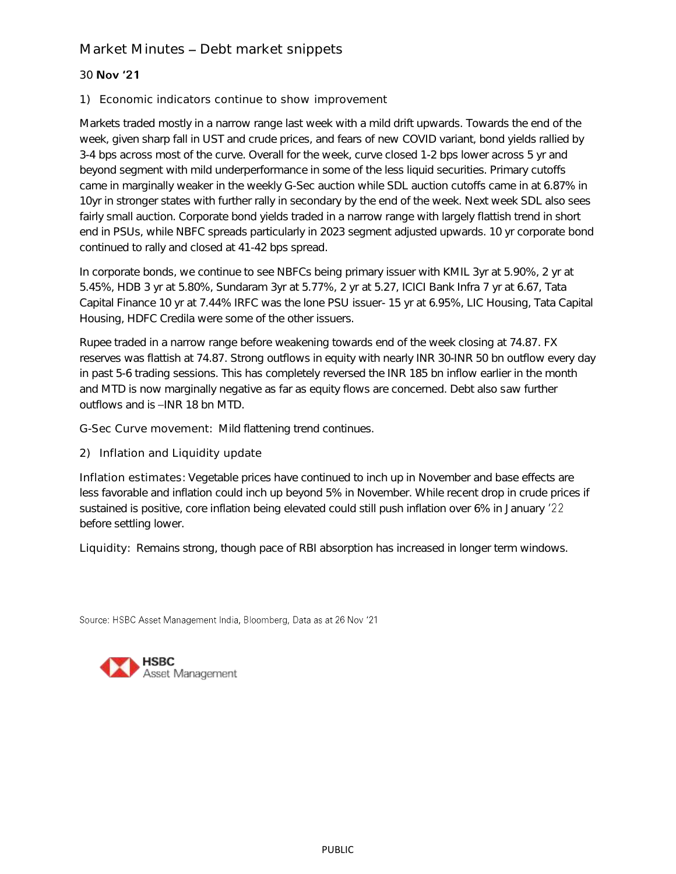## Market Minutes - Debt market snippets

## 30 Nov '21

1) Economic indicators continue to show improvement

Markets traded mostly in a narrow range last week with a mild drift upwards. Towards the end of the week, given sharp fall in UST and crude prices, and fears of new COVID variant, bond yields rallied by 3-4 bps across most of the curve. Overall for the week, curve closed 1-2 bps lower across 5 yr and beyond segment with mild underperformance in some of the less liquid securities. Primary cutoffs came in marginally weaker in the weekly G-Sec auction while SDL auction cutoffs came in at 6.87% in 10yr in stronger states with further rally in secondary by the end of the week. Next week SDL also sees fairly small auction. Corporate bond yields traded in a narrow range with largely flattish trend in short end in PSUs, while NBFC spreads particularly in 2023 segment adjusted upwards. 10 yr corporate bond continued to rally and closed at 41-42 bps spread.

In corporate bonds, we continue to see NBFCs being primary issuer with KMIL 3yr at 5.90%, 2 yr at 5.45%, HDB 3 yr at 5.80%, Sundaram 3yr at 5.77%, 2 yr at 5.27, ICICI Bank Infra 7 yr at 6.67, Tata Capital Finance 10 yr at 7.44% IRFC was the lone PSU issuer- 15 yr at 6.95%, LIC Housing, Tata Capital Housing, HDFC Credila were some of the other issuers.

Rupee traded in a narrow range before weakening towards end of the week closing at 74.87. FX reserves was flattish at 74.87. Strong outflows in equity with nearly INR 30-INR 50 bn outflow every day in past 5-6 trading sessions. This has completely reversed the INR 185 bn inflow earlier in the month and MTD is now marginally negative as far as equity flows are concerned. Debt also saw further outflows and is -INR 18 bn MTD.

G-Sec Curve movement: Mild flattening trend continues.

2) Inflation and Liquidity update

Inflation estimates: Vegetable prices have continued to inch up in November and base effects are less favorable and inflation could inch up beyond 5% in November. While recent drop in crude prices if sustained is positive, core inflation being elevated could still push inflation over 6% in January '22 before settling lower.

Liquidity: Remains strong, though pace of RBI absorption has increased in longer term windows.

Source: HSBC Asset Management India, Bloomberg, Data as at 26 Nov '21